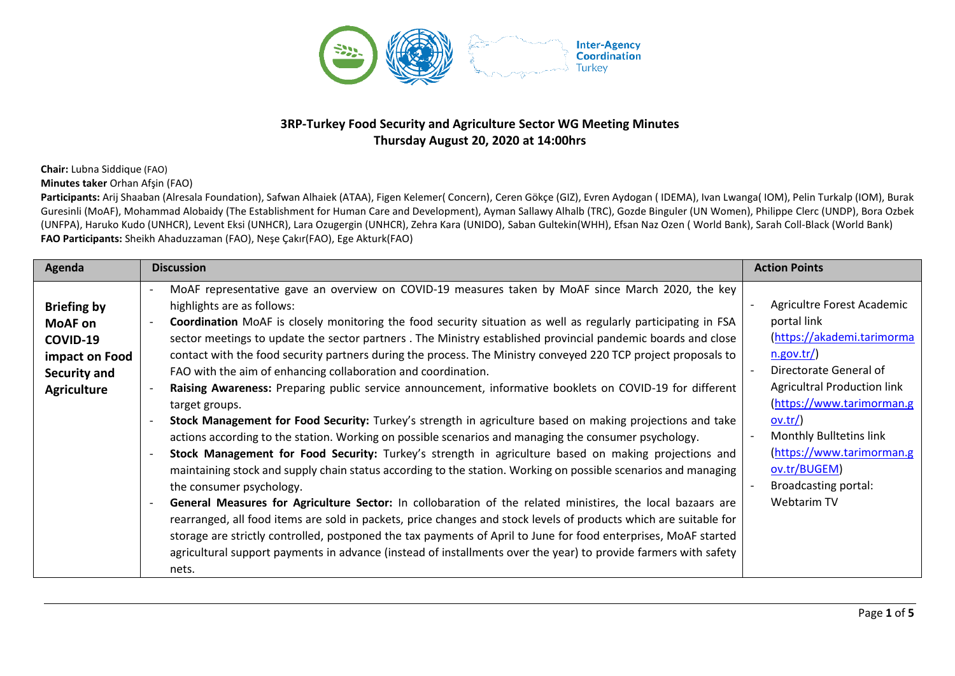

## **3RP-Turkey Food Security and Agriculture Sector WG Meeting Minutes Thursday August 20, 2020 at 14:00hrs**

**Chair:** Lubna Siddique (FAO)

**Minutes taker** Orhan Afşin (FAO)

Participants: Arij Shaaban (Alresala Foundation), Safwan Alhaiek (ATAA), Figen Kelemer( Concern), Ceren Gökçe (GIZ), Evren Aydogan (IDEMA), Ivan Lwanga( IOM), Pelin Turkalp (IOM), Burak Guresinli (MoAF), Mohammad Alobaidy (The Establishment for Human Care and Development), Ayman Sallawy Alhalb (TRC), Gozde Binguler (UN Women), Philippe Clerc (UNDP), Bora Ozbek (UNFPA), Haruko Kudo (UNHCR), Levent Eksi (UNHCR), Lara Ozugergin (UNHCR), Zehra Kara (UNIDO), Saban Gultekin(WHH), Efsan Naz Ozen ( World Bank), Sarah Coll-Black (World Bank) **FAO Participants:** Sheikh Ahaduzzaman (FAO), Neşe Çakır(FAO), Ege Akturk(FAO)

| Agenda                                                                                                   | <b>Discussion</b>                                                                                                                                                                                                                                                                                                                                                                                                                                                                                                                                                                                                                                                                                                                                                                                                                                                                                                                                                                                                                                                                                                                                                                                                                                                                                                                                                                                                                                                                                                                                                                                                                               | <b>Action Points</b>                                                                                                                                                                                                                                                                                                |
|----------------------------------------------------------------------------------------------------------|-------------------------------------------------------------------------------------------------------------------------------------------------------------------------------------------------------------------------------------------------------------------------------------------------------------------------------------------------------------------------------------------------------------------------------------------------------------------------------------------------------------------------------------------------------------------------------------------------------------------------------------------------------------------------------------------------------------------------------------------------------------------------------------------------------------------------------------------------------------------------------------------------------------------------------------------------------------------------------------------------------------------------------------------------------------------------------------------------------------------------------------------------------------------------------------------------------------------------------------------------------------------------------------------------------------------------------------------------------------------------------------------------------------------------------------------------------------------------------------------------------------------------------------------------------------------------------------------------------------------------------------------------|---------------------------------------------------------------------------------------------------------------------------------------------------------------------------------------------------------------------------------------------------------------------------------------------------------------------|
| <b>Briefing by</b><br><b>MoAF</b> on<br>COVID-19<br>impact on Food<br>Security and<br><b>Agriculture</b> | MoAF representative gave an overview on COVID-19 measures taken by MoAF since March 2020, the key<br>highlights are as follows:<br>Coordination MoAF is closely monitoring the food security situation as well as regularly participating in FSA<br>sector meetings to update the sector partners. The Ministry established provincial pandemic boards and close<br>contact with the food security partners during the process. The Ministry conveyed 220 TCP project proposals to<br>FAO with the aim of enhancing collaboration and coordination.<br>Raising Awareness: Preparing public service announcement, informative booklets on COVID-19 for different<br>target groups.<br>Stock Management for Food Security: Turkey's strength in agriculture based on making projections and take<br>actions according to the station. Working on possible scenarios and managing the consumer psychology.<br>Stock Management for Food Security: Turkey's strength in agriculture based on making projections and<br>maintaining stock and supply chain status according to the station. Working on possible scenarios and managing<br>the consumer psychology.<br>General Measures for Agriculture Sector: In collobaration of the related ministires, the local bazaars are<br>rearranged, all food items are sold in packets, price changes and stock levels of products which are suitable for<br>storage are strictly controlled, postponed the tax payments of April to June for food enterprises, MoAF started<br>agricultural support payments in advance (instead of installments over the year) to provide farmers with safety<br>nets. | Agricultre Forest Academic<br>portal link<br>(https://akademi.tarimorma<br>n.gov.tr/<br>Directorate General of<br><b>Agricultral Production link</b><br>(https://www.tarimorman.g<br>$ov.tr/$<br>Monthly Bulltetins link<br>(https://www.tarimorman.g<br>ov.tr/BUGEM)<br><b>Broadcasting portal:</b><br>Webtarim TV |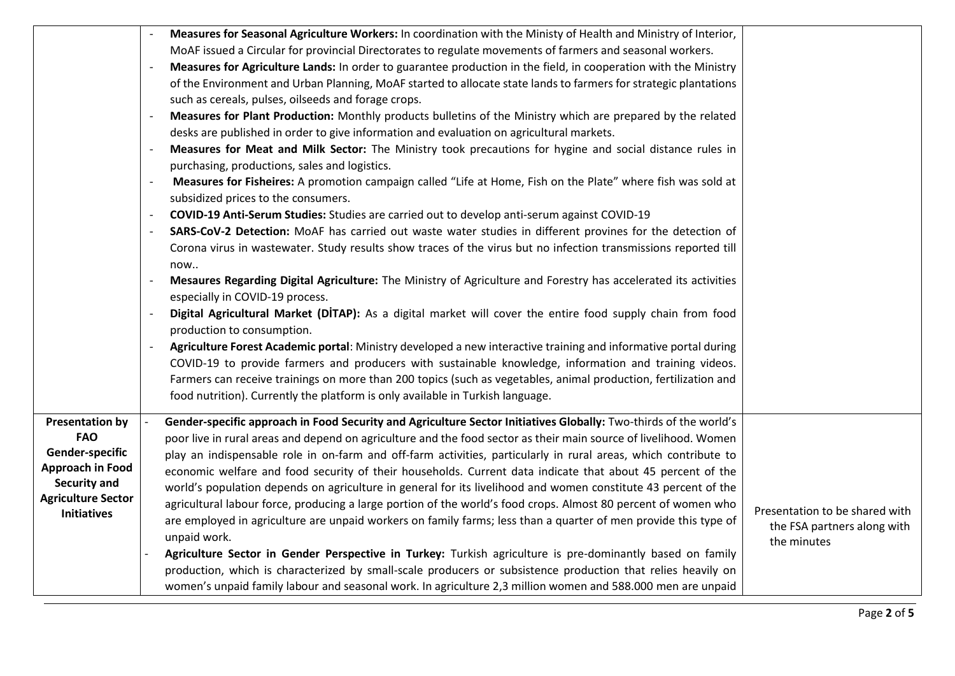|                                                                                                                             | Measures for Seasonal Agriculture Workers: In coordination with the Ministy of Health and Ministry of Interior,<br>MoAF issued a Circular for provincial Directorates to regulate movements of farmers and seasonal workers.<br>Measures for Agriculture Lands: In order to guarantee production in the field, in cooperation with the Ministry<br>of the Environment and Urban Planning, MoAF started to allocate state lands to farmers for strategic plantations<br>such as cereals, pulses, oilseeds and forage crops.<br>Measures for Plant Production: Monthly products bulletins of the Ministry which are prepared by the related<br>desks are published in order to give information and evaluation on agricultural markets.<br>Measures for Meat and Milk Sector: The Ministry took precautions for hygine and social distance rules in<br>purchasing, productions, sales and logistics.<br>Measures for Fisheires: A promotion campaign called "Life at Home, Fish on the Plate" where fish was sold at<br>subsidized prices to the consumers.<br>COVID-19 Anti-Serum Studies: Studies are carried out to develop anti-serum against COVID-19<br>SARS-CoV-2 Detection: MoAF has carried out waste water studies in different provines for the detection of<br>Corona virus in wastewater. Study results show traces of the virus but no infection transmissions reported till<br>now<br>Mesaures Regarding Digital Agriculture: The Ministry of Agriculture and Forestry has accelerated its activities<br>especially in COVID-19 process.<br>Digital Agricultural Market (DITAP): As a digital market will cover the entire food supply chain from food<br>production to consumption. |                                                                              |
|-----------------------------------------------------------------------------------------------------------------------------|---------------------------------------------------------------------------------------------------------------------------------------------------------------------------------------------------------------------------------------------------------------------------------------------------------------------------------------------------------------------------------------------------------------------------------------------------------------------------------------------------------------------------------------------------------------------------------------------------------------------------------------------------------------------------------------------------------------------------------------------------------------------------------------------------------------------------------------------------------------------------------------------------------------------------------------------------------------------------------------------------------------------------------------------------------------------------------------------------------------------------------------------------------------------------------------------------------------------------------------------------------------------------------------------------------------------------------------------------------------------------------------------------------------------------------------------------------------------------------------------------------------------------------------------------------------------------------------------------------------------------------------------------------------------------------------------------|------------------------------------------------------------------------------|
| <b>Presentation by</b>                                                                                                      | food nutrition). Currently the platform is only available in Turkish language.<br>Gender-specific approach in Food Security and Agriculture Sector Initiatives Globally: Two-thirds of the world's                                                                                                                                                                                                                                                                                                                                                                                                                                                                                                                                                                                                                                                                                                                                                                                                                                                                                                                                                                                                                                                                                                                                                                                                                                                                                                                                                                                                                                                                                                |                                                                              |
| <b>FAO</b><br>Gender-specific<br><b>Approach in Food</b><br>Security and<br><b>Agriculture Sector</b><br><b>Initiatives</b> | poor live in rural areas and depend on agriculture and the food sector as their main source of livelihood. Women<br>play an indispensable role in on-farm and off-farm activities, particularly in rural areas, which contribute to<br>economic welfare and food security of their households. Current data indicate that about 45 percent of the<br>world's population depends on agriculture in general for its livelihood and women constitute 43 percent of the<br>agricultural labour force, producing a large portion of the world's food crops. Almost 80 percent of women who<br>are employed in agriculture are unpaid workers on family farms; less than a quarter of men provide this type of<br>unpaid work.<br>Agriculture Sector in Gender Perspective in Turkey: Turkish agriculture is pre-dominantly based on family<br>production, which is characterized by small-scale producers or subsistence production that relies heavily on<br>women's unpaid family labour and seasonal work. In agriculture 2,3 million women and 588.000 men are unpaid                                                                                                                                                                                                                                                                                                                                                                                                                                                                                                                                                                                                                              | Presentation to be shared with<br>the FSA partners along with<br>the minutes |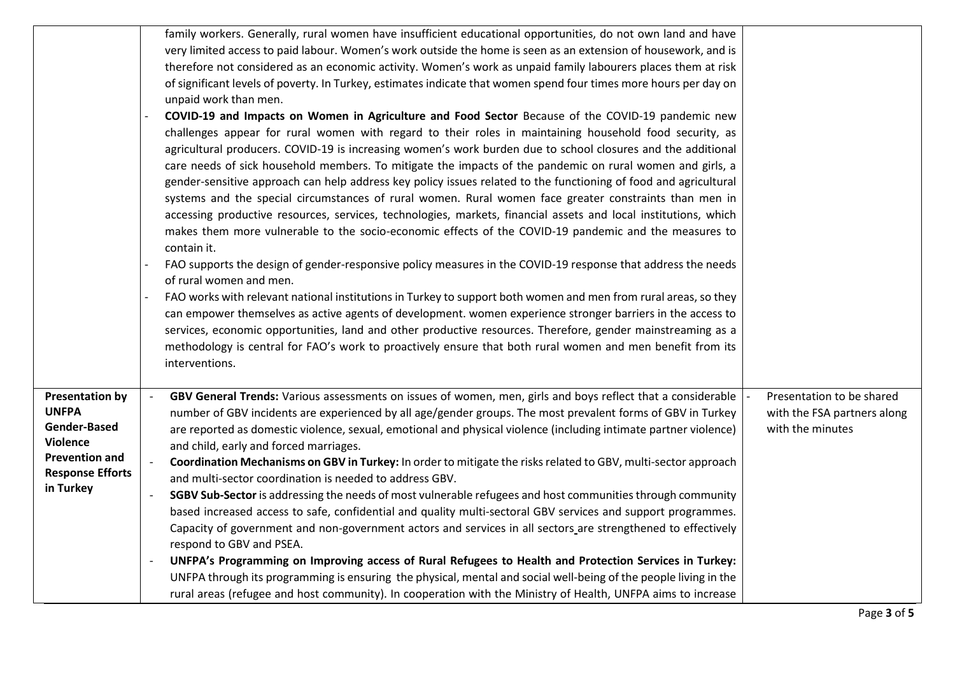|                                                                                                                                                   | family workers. Generally, rural women have insufficient educational opportunities, do not own land and have<br>very limited access to paid labour. Women's work outside the home is seen as an extension of housework, and is<br>therefore not considered as an economic activity. Women's work as unpaid family labourers places them at risk<br>of significant levels of poverty. In Turkey, estimates indicate that women spend four times more hours per day on<br>unpaid work than men.<br>COVID-19 and Impacts on Women in Agriculture and Food Sector Because of the COVID-19 pandemic new<br>challenges appear for rural women with regard to their roles in maintaining household food security, as<br>agricultural producers. COVID-19 is increasing women's work burden due to school closures and the additional<br>care needs of sick household members. To mitigate the impacts of the pandemic on rural women and girls, a<br>gender-sensitive approach can help address key policy issues related to the functioning of food and agricultural<br>systems and the special circumstances of rural women. Rural women face greater constraints than men in<br>accessing productive resources, services, technologies, markets, financial assets and local institutions, which<br>makes them more vulnerable to the socio-economic effects of the COVID-19 pandemic and the measures to<br>contain it.<br>FAO supports the design of gender-responsive policy measures in the COVID-19 response that address the needs<br>of rural women and men.<br>FAO works with relevant national institutions in Turkey to support both women and men from rural areas, so they<br>can empower themselves as active agents of development. women experience stronger barriers in the access to<br>services, economic opportunities, land and other productive resources. Therefore, gender mainstreaming as a<br>methodology is central for FAO's work to proactively ensure that both rural women and men benefit from its<br>interventions. |                                                                              |
|---------------------------------------------------------------------------------------------------------------------------------------------------|-------------------------------------------------------------------------------------------------------------------------------------------------------------------------------------------------------------------------------------------------------------------------------------------------------------------------------------------------------------------------------------------------------------------------------------------------------------------------------------------------------------------------------------------------------------------------------------------------------------------------------------------------------------------------------------------------------------------------------------------------------------------------------------------------------------------------------------------------------------------------------------------------------------------------------------------------------------------------------------------------------------------------------------------------------------------------------------------------------------------------------------------------------------------------------------------------------------------------------------------------------------------------------------------------------------------------------------------------------------------------------------------------------------------------------------------------------------------------------------------------------------------------------------------------------------------------------------------------------------------------------------------------------------------------------------------------------------------------------------------------------------------------------------------------------------------------------------------------------------------------------------------------------------------------------------------------------------------------------------------------------------------------------------------------|------------------------------------------------------------------------------|
| <b>Presentation by</b><br><b>UNFPA</b><br><b>Gender-Based</b><br><b>Violence</b><br><b>Prevention and</b><br><b>Response Efforts</b><br>in Turkey | GBV General Trends: Various assessments on issues of women, men, girls and boys reflect that a considerable<br>number of GBV incidents are experienced by all age/gender groups. The most prevalent forms of GBV in Turkey<br>are reported as domestic violence, sexual, emotional and physical violence (including intimate partner violence)<br>and child, early and forced marriages.<br>Coordination Mechanisms on GBV in Turkey: In order to mitigate the risks related to GBV, multi-sector approach<br>and multi-sector coordination is needed to address GBV.<br>SGBV Sub-Sector is addressing the needs of most vulnerable refugees and host communities through community<br>based increased access to safe, confidential and quality multi-sectoral GBV services and support programmes.<br>Capacity of government and non-government actors and services in all sectors are strengthened to effectively<br>respond to GBV and PSEA.<br>UNFPA's Programming on Improving access of Rural Refugees to Health and Protection Services in Turkey:<br>UNFPA through its programming is ensuring the physical, mental and social well-being of the people living in the<br>rural areas (refugee and host community). In cooperation with the Ministry of Health, UNFPA aims to increase                                                                                                                                                                                                                                                                                                                                                                                                                                                                                                                                                                                                                                                                                                                                                   | Presentation to be shared<br>with the FSA partners along<br>with the minutes |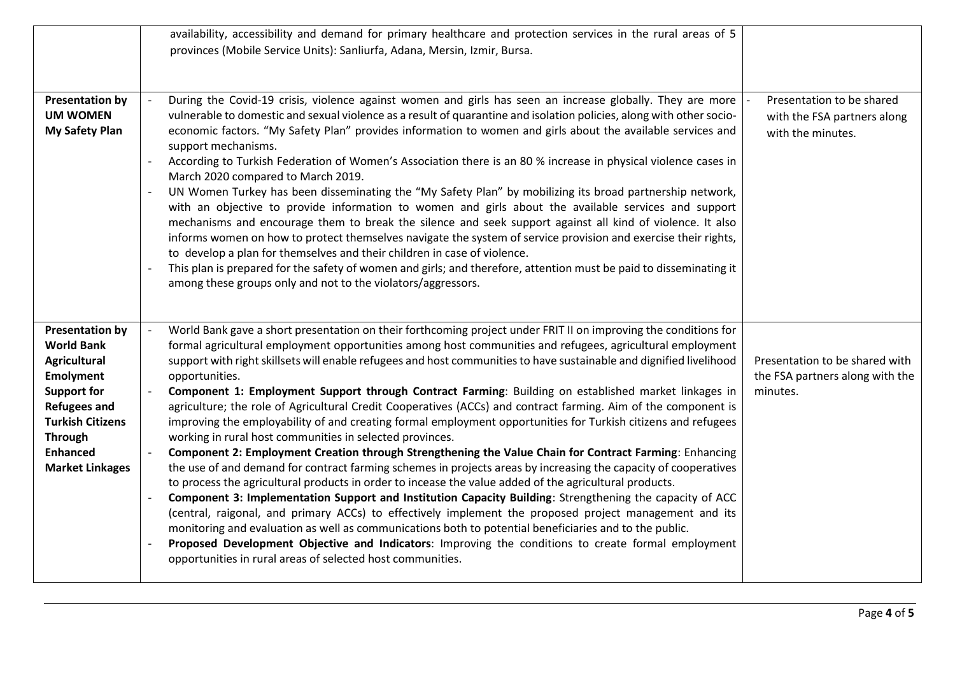|                                                                                                                                                                                                                               | availability, accessibility and demand for primary healthcare and protection services in the rural areas of 5<br>provinces (Mobile Service Units): Sanliurfa, Adana, Mersin, Izmir, Bursa.                                                                                                                                                                                                                                                                                                                                                                                                                                                                                                                                                                                                                                                                                                                                                                                                                                                                                                                                                                                                                                                                                                                                                                                                                                                                                                                                                                                                                               |                                                                               |
|-------------------------------------------------------------------------------------------------------------------------------------------------------------------------------------------------------------------------------|--------------------------------------------------------------------------------------------------------------------------------------------------------------------------------------------------------------------------------------------------------------------------------------------------------------------------------------------------------------------------------------------------------------------------------------------------------------------------------------------------------------------------------------------------------------------------------------------------------------------------------------------------------------------------------------------------------------------------------------------------------------------------------------------------------------------------------------------------------------------------------------------------------------------------------------------------------------------------------------------------------------------------------------------------------------------------------------------------------------------------------------------------------------------------------------------------------------------------------------------------------------------------------------------------------------------------------------------------------------------------------------------------------------------------------------------------------------------------------------------------------------------------------------------------------------------------------------------------------------------------|-------------------------------------------------------------------------------|
| <b>Presentation by</b><br><b>UM WOMEN</b><br><b>My Safety Plan</b>                                                                                                                                                            | During the Covid-19 crisis, violence against women and girls has seen an increase globally. They are more<br>vulnerable to domestic and sexual violence as a result of quarantine and isolation policies, along with other socio-<br>economic factors. "My Safety Plan" provides information to women and girls about the available services and<br>support mechanisms.<br>According to Turkish Federation of Women's Association there is an 80 % increase in physical violence cases in<br>March 2020 compared to March 2019.<br>UN Women Turkey has been disseminating the "My Safety Plan" by mobilizing its broad partnership network,<br>with an objective to provide information to women and girls about the available services and support<br>mechanisms and encourage them to break the silence and seek support against all kind of violence. It also<br>informs women on how to protect themselves navigate the system of service provision and exercise their rights,<br>to develop a plan for themselves and their children in case of violence.<br>This plan is prepared for the safety of women and girls; and therefore, attention must be paid to disseminating it<br>among these groups only and not to the violators/aggressors.                                                                                                                                                                                                                                                                                                                                                                     | Presentation to be shared<br>with the FSA partners along<br>with the minutes. |
| <b>Presentation by</b><br><b>World Bank</b><br><b>Agricultural</b><br><b>Emolyment</b><br><b>Support for</b><br><b>Refugees and</b><br><b>Turkish Citizens</b><br><b>Through</b><br><b>Enhanced</b><br><b>Market Linkages</b> | World Bank gave a short presentation on their forthcoming project under FRIT II on improving the conditions for<br>formal agricultural employment opportunities among host communities and refugees, agricultural employment<br>support with right skillsets will enable refugees and host communities to have sustainable and dignified livelihood<br>opportunities.<br>Component 1: Employment Support through Contract Farming: Building on established market linkages in<br>agriculture; the role of Agricultural Credit Cooperatives (ACCs) and contract farming. Aim of the component is<br>improving the employability of and creating formal employment opportunities for Turkish citizens and refugees<br>working in rural host communities in selected provinces.<br>Component 2: Employment Creation through Strengthening the Value Chain for Contract Farming: Enhancing<br>the use of and demand for contract farming schemes in projects areas by increasing the capacity of cooperatives<br>to process the agricultural products in order to incease the value added of the agricultural products.<br>Component 3: Implementation Support and Institution Capacity Building: Strengthening the capacity of ACC<br>(central, raigonal, and primary ACCs) to effectively implement the proposed project management and its<br>monitoring and evaluation as well as communications both to potential beneficiaries and to the public.<br>Proposed Development Objective and Indicators: Improving the conditions to create formal employment<br>opportunities in rural areas of selected host communities. | Presentation to be shared with<br>the FSA partners along with the<br>minutes. |